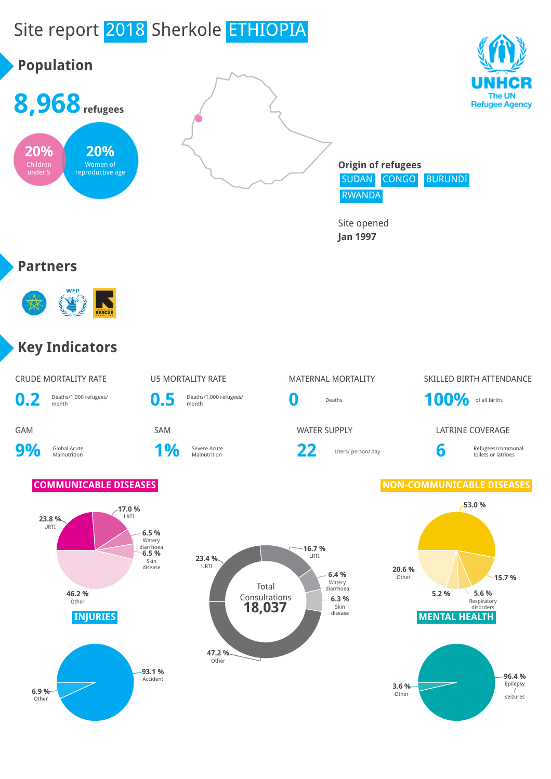# Site report 2018 Sherkole ETHIOPIA

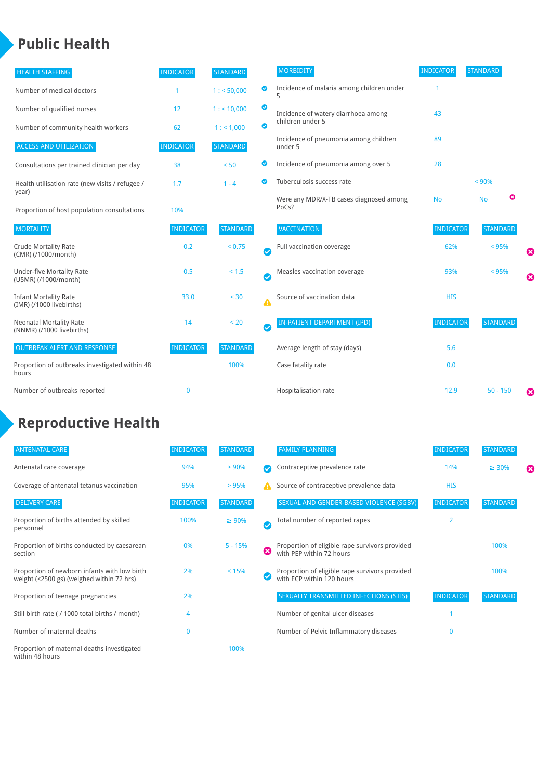### **Public Health**

| <b>HEALTH STAFFING</b>                                      | <b>INDICATOR</b> | <b>STANDARD</b> |                  | <b>MORBIDITY</b>                                 | <b>INDICATOR</b> | <b>STANDARD</b> |                       |
|-------------------------------------------------------------|------------------|-----------------|------------------|--------------------------------------------------|------------------|-----------------|-----------------------|
| Number of medical doctors                                   |                  | 1: 50,000       | ◙                | Incidence of malaria among children under        |                  |                 |                       |
| Number of qualified nurses                                  | 12               | 1:10,000        | ◙                | Incidence of watery diarrhoea among              | 43               |                 |                       |
| Number of community health workers                          | 62               | 1: 1,000        | ◙                | children under 5                                 |                  |                 |                       |
| <b>ACCESS AND UTILIZATION</b>                               | <b>INDICATOR</b> | <b>STANDARD</b> |                  | Incidence of pneumonia among children<br>under 5 | 89               |                 |                       |
| Consultations per trained clinician per day                 | 38               | < 50            | ◙                | Incidence of pneumonia among over 5              | 28               |                 |                       |
| Health utilisation rate (new visits / refugee /             | 1.7              | $1 - 4$         | ల                | Tuberculosis success rate                        |                  | < 90%           |                       |
| year)<br>Proportion of host population consultations        | 10%              |                 |                  | Were any MDR/X-TB cases diagnosed among<br>PoCs? | <b>No</b>        | ೞ<br><b>No</b>  |                       |
| <b>MORTALITY</b>                                            | <b>INDICATOR</b> | <b>STANDARD</b> |                  | VACCINATION                                      | <b>INDICATOR</b> | <b>STANDARD</b> |                       |
| <b>Crude Mortality Rate</b><br>(CMR) (/1000/month)          | 0.2              | < 0.75          | $\bullet$        | Full vaccination coverage                        | 62%              | < 95%           | Ø                     |
| <b>Under-five Mortality Rate</b><br>(U5MR) (/1000/month)    | 0.5              | < 1.5           | Ø                | Measles vaccination coverage                     | 93%              | < 95%           | $\boldsymbol{\Omega}$ |
| <b>Infant Mortality Rate</b><br>(IMR) (/1000 livebirths)    | 33.0             | < 30            | $\blacktriangle$ | Source of vaccination data                       | <b>HIS</b>       |                 |                       |
| <b>Neonatal Mortality Rate</b><br>(NNMR) (/1000 livebirths) | 14               | < 20            | $\bullet$        | <b>IN-PATIENT DEPARTMENT (IPD)</b>               | <b>INDICATOR</b> | <b>STANDARD</b> |                       |
| <b>OUTBREAK ALERT AND RESPONSE</b>                          | <b>INDICATOR</b> | <b>STANDARD</b> |                  | Average length of stay (days)                    | 5.6              |                 |                       |
| Proportion of outbreaks investigated within 48<br>hours     |                  | 100%            |                  | Case fatality rate                               | 0.0              |                 |                       |
| Number of outbreaks reported                                | $\mathbf{0}$     |                 |                  | Hospitalisation rate                             | 12.9             | $50 - 150$      | €                     |

## **Reproductive Health**

| <b>ANTENATAL CARE</b>                                                                     | <b>INDICATOR</b> | <b>STANDARD</b> |   | <b>FAMILY PLANNING</b>                                                      | <b>INDICATOR</b> | <b>STANDARD</b> |   |
|-------------------------------------------------------------------------------------------|------------------|-----------------|---|-----------------------------------------------------------------------------|------------------|-----------------|---|
| Antenatal care coverage                                                                   | 94%              | > 90%           |   | Contraceptive prevalence rate                                               | 14%              | $\geq 30\%$     | ⊠ |
| Coverage of antenatal tetanus vaccination                                                 | 95%              | >95%            |   | Source of contraceptive prevalence data                                     | <b>HIS</b>       |                 |   |
| <b>DELIVERY CARE</b>                                                                      | <b>INDICATOR</b> | <b>STANDARD</b> |   | SEXUAL AND GENDER-BASED VIOLENCE (SGBV)                                     | <b>INDICATOR</b> | <b>STANDARD</b> |   |
| Proportion of births attended by skilled<br>personnel                                     | 100%             | $\geq 90\%$     | Ø | Total number of reported rapes                                              | $\overline{2}$   |                 |   |
| Proportion of births conducted by caesarean<br>section                                    | 0%               | $5 - 15%$       | ظ | Proportion of eligible rape survivors provided<br>with PEP within 72 hours  |                  | 100%            |   |
| Proportion of newborn infants with low birth<br>weight (<2500 gs) (weighed within 72 hrs) | 2%               | < 15%           |   | Proportion of eligible rape survivors provided<br>with ECP within 120 hours |                  | 100%            |   |
| Proportion of teenage pregnancies                                                         | 2%               |                 |   | SEXUALLY TRANSMITTED INFECTIONS (STIS)                                      | <b>INDICATOR</b> | <b>STANDARD</b> |   |
| Still birth rate (/ 1000 total births / month)                                            | 4                |                 |   | Number of genital ulcer diseases                                            |                  |                 |   |
| Number of maternal deaths                                                                 | $\mathbf{0}$     |                 |   | Number of Pelvic Inflammatory diseases                                      | $\mathbf{0}$     |                 |   |
| Proportion of maternal deaths investigated<br>within 48 hours                             |                  | 100%            |   |                                                                             |                  |                 |   |